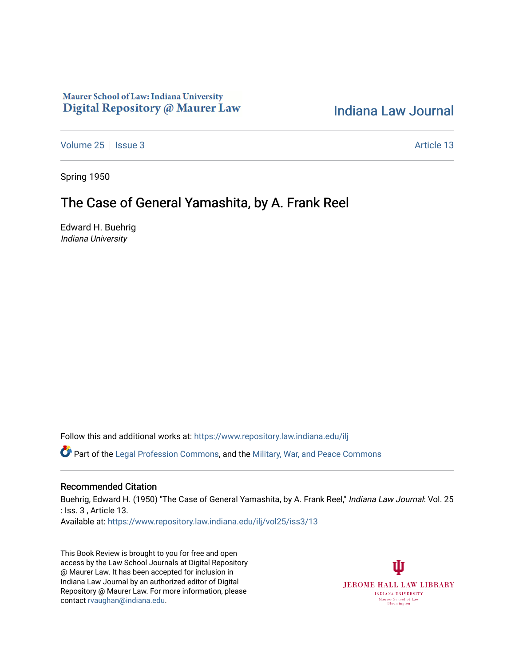## Maurer School of Law: Indiana University Digital Repository @ Maurer Law

## [Indiana Law Journal](https://www.repository.law.indiana.edu/ilj)

[Volume 25](https://www.repository.law.indiana.edu/ilj/vol25) | [Issue 3](https://www.repository.law.indiana.edu/ilj/vol25/iss3) Article 13

Spring 1950

## The Case of General Yamashita, by A. Frank Reel

Edward H. Buehrig Indiana University

Follow this and additional works at: [https://www.repository.law.indiana.edu/ilj](https://www.repository.law.indiana.edu/ilj?utm_source=www.repository.law.indiana.edu%2Filj%2Fvol25%2Fiss3%2F13&utm_medium=PDF&utm_campaign=PDFCoverPages) 

Part of the [Legal Profession Commons](http://network.bepress.com/hgg/discipline/1075?utm_source=www.repository.law.indiana.edu%2Filj%2Fvol25%2Fiss3%2F13&utm_medium=PDF&utm_campaign=PDFCoverPages), and the [Military, War, and Peace Commons](http://network.bepress.com/hgg/discipline/861?utm_source=www.repository.law.indiana.edu%2Filj%2Fvol25%2Fiss3%2F13&utm_medium=PDF&utm_campaign=PDFCoverPages) 

## Recommended Citation

Buehrig, Edward H. (1950) "The Case of General Yamashita, by A. Frank Reel," Indiana Law Journal: Vol. 25 : Iss. 3 , Article 13. Available at: [https://www.repository.law.indiana.edu/ilj/vol25/iss3/13](https://www.repository.law.indiana.edu/ilj/vol25/iss3/13?utm_source=www.repository.law.indiana.edu%2Filj%2Fvol25%2Fiss3%2F13&utm_medium=PDF&utm_campaign=PDFCoverPages)

This Book Review is brought to you for free and open access by the Law School Journals at Digital Repository @ Maurer Law. It has been accepted for inclusion in Indiana Law Journal by an authorized editor of Digital Repository @ Maurer Law. For more information, please contact [rvaughan@indiana.edu](mailto:rvaughan@indiana.edu).

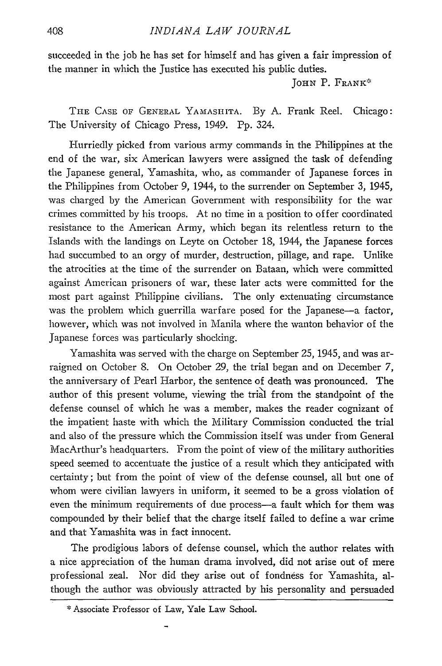THE CASE OF GENERAL **YAMASHITA.** By A. Frank Reel. Chicago: The University of Chicago Press, 1949. Pp. 324.

Hurriedly picked from various army commands in the Philippines at the end of the war, six American lawyers were assigned the task of defending the Japanese general, Yamashita, who, as commander of Japanese forces in the Philippines from October 9, 1944, to the surrender on September 3, 1945, was charged by the American Government with responsibility for the war crimes committed by his troops. At no time in a position to offer coordinated resistance to the American Army, which began its relentless return to the Islands with the landings on Leyte on October 18, 1944, the Japanese forces had succumbed to an orgy of murder, destruction, pillage, and rape. Unlike the atrocities at the time of the surrender on Bataan, which were committed against American prisoners of war, these later acts were committed for the most part against Philippine civilians. The only extenuating circumstance was the problem which guerrilla warfare posed for the Japanese-a factor, however, which was not involved in Manila where the wanton behavior of the Japanese forces was particularly shocking.

Yamashita was served with the charge on September 25, 1945, and was arraigned on October 8. On October 29, the trial began and on December 7, the anniversary of Pearl Harbor, the sentence of death was pronounced. The author of this present volume, viewing the trial from the standpoint of the defense counsel of which he was a member, makes the reader cognizant of the impatient haste with which the Military Commission conducted the trial and also of the pressure which the Commission itself was under from General MacArthur's headquarters. From the point of view of the military authorities speed seemed to accentuate the justice of a result which they anticipated with certainty; but from the point of view of the defense counsel, all but one of whom were civilian lawyers in uniform, it seemed to be a gross violation of even the minimum requirements of due process-a fault which for them was compounded by their belief that the charge itself failed to define a war crime and that Yamashita was in fact innocent.

The prodigious labors of defense counsel, which the author relates with a nice appreciation of the human drama involved, did not arise out of mere professional zeal. Nor did they arise out of fondness for Yamashita, although the author was obviously attracted by his personality and persuaded

<sup>\*</sup> Associate Professor of Law, Yale Law School.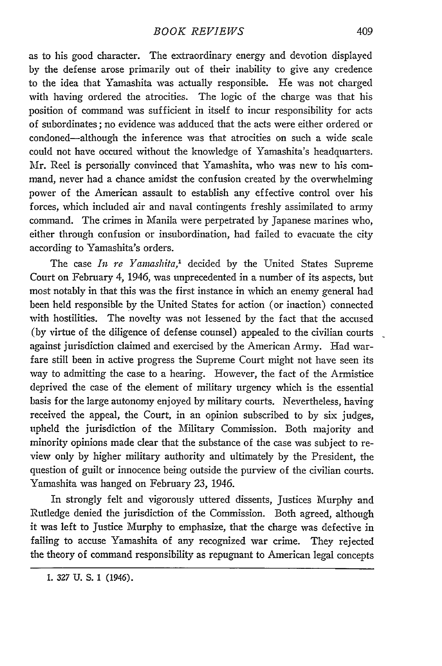as to his good character. The extraordinary energy and devotion displayed by the defense arose primarily out of their inability to give any credence to the idea that Yamashita was actually responsible. He was not charged with having ordered the atrocities. The logic of the charge was that his position of command was sufficient in itself to incur responsibility for acts of subordinates; no evidence was adduced that the acts were either ordered or condoned-although the inference was that atrocities on such a wide scale could not have occured without the knowledge of Yamashita's headquarters. Mr. Reel is personally convinced that Yamashita, who was new to his command, never had a chance amidst the confusion created by the overwhelming power of the American assault to establish any effective control over his forces, which included air and naval contingents freshly assimilated to army command. The crimes in Manila were perpetrated by Japanese marines who, either through confusion or insubordination, had failed to evacuate the city according to Yamashita's orders.

The case *In re Yamashita*,<sup>1</sup> decided by the United States Supreme Court on February 4, 1946, was unprecedented in a number of its aspects, but most notably in that this was the first instance in which an enemy general had been held responsible **by** the United States for action (or inaction) connected with hostilities. The novelty was not lessened **by** the fact that the accused **(by** virtue of the diligence of defense counsel) appealed to the civilian courts against jurisdiction claimed and exercised **by** the American Army. Had warfare still been in active progress the Supreme Court might not have seen its way to admitting the case to a hearing. However, the fact of the Armistice deprived the case of the element of military urgency which is the essential basis for the large autonomy enjoyed **by** military courts. Nevertheless, having received the appeal, the Court, in an opinion subscribed to **by** six judges, upheld the jurisdiction of the Military Commission. Both majority and minority opinions made clear that the substance of the case was subject to review only **by** higher military authority and ultimately **by** the President, the question of guilt or innocence being outside the purview of the civilian courts. Yamashita was hanged on February 23, 1946.

In strongly felt and vigorously uttered dissents, Justices Murphy and Rutledge denied the jurisdiction of the Commission. Both agreed, although it was left to Justice Murphy to emphasize, that the charge was defective in failing to accuse Yamashita of any recognized war crime. They rejected the theory of command responsibility as repugnant to American legal concepts

<sup>1.</sup> 327 U. **S.** 1 (1946).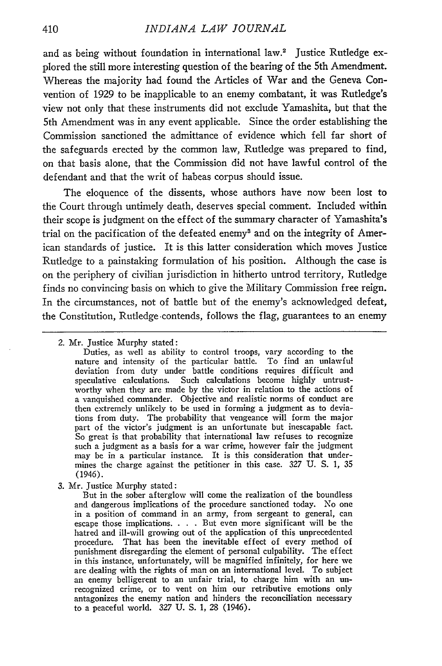and as being without foundation in international law.<sup>2</sup> Justice Rutledge explored the still more interesting question of the bearing of the 5th Amendment. Whereas the majority had found the Articles of War and the Geneva Convention of 1929 to be inapplicable to an enemy combatant, it was Rutledge's view not only that these instruments did not exclude Yamashita, but that the 5th Amendment was in any event applicable. Since the order establishing the Commission sanctioned the admittance of evidence which fell far short of the safeguards erected **by** the common law, Rutledge was prepared to find, on that basis alone, that the Commission did not have lawful control of the defendant and that the writ of habeas corpus should issue.

The eloquence of the dissents, whose authors have now been lost to the Court through untimely death, deserves special comment. Included within their scope is judgment on the effect of the summary character of Yamashita's trial on the pacification of the defeated enemys and on the integrity of American standards of justice. It is this latter consideration which moves Justice Rutledge to a painstaking formulation of his position. Although the case is on the periphery of civilian jurisdiction in hitherto untrod territory, Rutledge finds no convincing basis on which to give the Military Commission free reign. In the circumstances, not of battle but of the enemy's acknowledged defeat, the Constitution, Rutledge contends, follows the flag, guarantees to an enemy

3. Mr. Justice Murphy stated:

But in the sober afterglow will come the realization of the boundless and dangerous implications of the procedure sanctioned today. No one in a position of command in an army, from sergeant to general, can escape those implications. . **.** . But even more significant will be the hatred and ill-will growing out of the application of this unprecedented procedure. That has been the inevitable effect of every method of punishment disregarding the element of personal culpability. The effect in this instance, unfortunately, will be magnified infinitely, for here we are dealing with the rights of man on an international level. To subject an enemy belligerent to an unfair trial, to charge him with an unrecognized crime, or to vent on him our retributive emotions only antagonizes the enemy nation and hinders the reconciliation necessary to a peaceful world. 327 U. **S.** 1, 28 (1946).

<sup>2.</sup> Mr. Justice Murphy stated:

Duties, as well as ability to control troops, vary according to the nature and intensity of the particular battle. To find an unlawful deviation from duty under battle conditions requires difficult and speculative calculations. Such calculations become highly untrustworthy when they are made **by** the victor in relation to the actions of a vanquished commander. Objective and realistic norms of conduct are then extremely unlikely to be used in forming a judgment as to deviations from duty. The probability that vengeance will form the major part of the victor's judgment is an unfortunate but inescapable fact. So great is that probability that international law refuses to recognize such a judgment as a basis for a war crime, however fair the judgment may be in a particular instance. It is this consideration that undermines the charge against the petitioner in this case. 327 **U. S.** 1, 35 (1946).